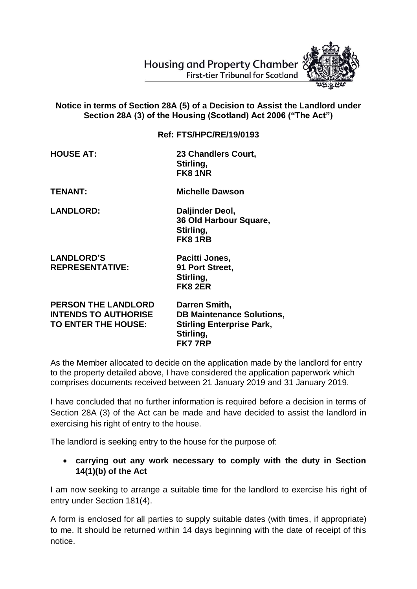Housing and Property Chamber **First-tier Tribunal for Scotland** 



## **Notice in terms of Section 28A (5) of a Decision to Assist the Landlord under Section 28A (3) of the Housing (Scotland) Act 2006 ("The Act")**

**Ref: FTS/HPC/RE/19/0193**

**HOUSE AT: 23 Chandlers Court, Stirling, FK8 1NR**

**TENANT: Michelle Dawson**

**LANDLORD: Daljinder Deol, 36 Old Harbour Square, Stirling, FK8 1RB**

**LANDLORD'S Pacitti Jones, REPRESENTATIVE: 91 Port Street,** 

**Stirling, FK8 2ER**

**PERSON THE LANDLORD Darren Smith, INTENDS TO AUTHORISE DB Maintenance Solutions, TO ENTER THE HOUSE: Stirling Enterprise Park, Stirling, FK7 7RP**

As the Member allocated to decide on the application made by the landlord for entry to the property detailed above, I have considered the application paperwork which comprises documents received between 21 January 2019 and 31 January 2019.

I have concluded that no further information is required before a decision in terms of Section 28A (3) of the Act can be made and have decided to assist the landlord in exercising his right of entry to the house.

The landlord is seeking entry to the house for the purpose of:

## **carrying out any work necessary to comply with the duty in Section 14(1)(b) of the Act**

I am now seeking to arrange a suitable time for the landlord to exercise his right of entry under Section 181(4).

A form is enclosed for all parties to supply suitable dates (with times, if appropriate) to me. It should be returned within 14 days beginning with the date of receipt of this notice.